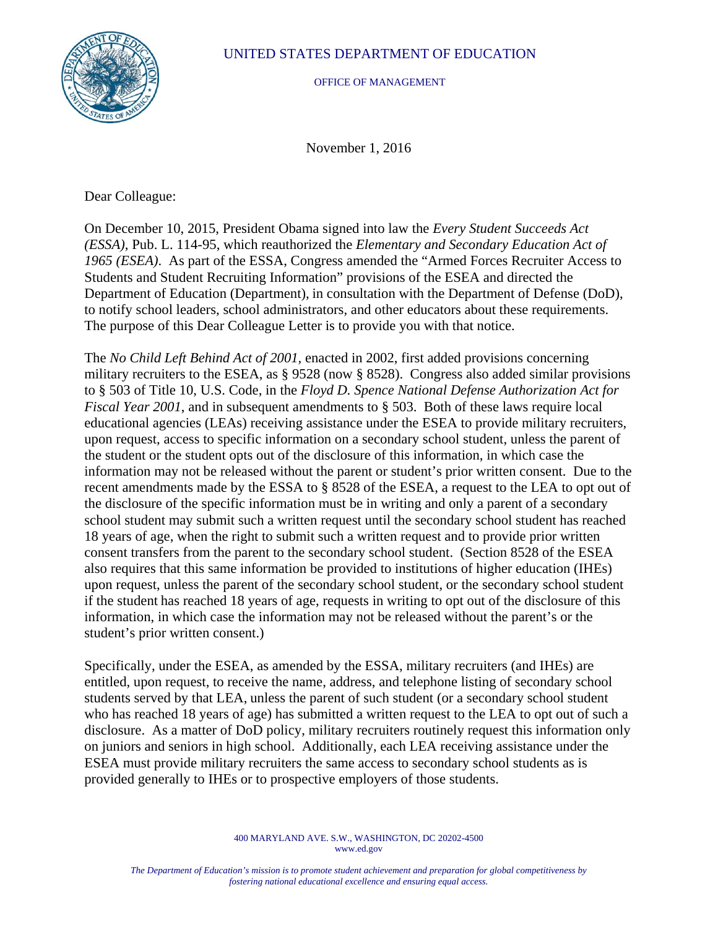

## UNITED STATES DEPARTMENT OF EDUCATION

OFFICE OF MANAGEMENT

November 1, 2016

Dear Colleague:

On December 10, 2015, President Obama signed into law the *Every Student Succeeds Act (ESSA)*, Pub. L. 114-95, which reauthorized the *Elementary and Secondary Education Act of 1965 (ESEA)*. As part of the ESSA, Congress amended the "Armed Forces Recruiter Access to Students and Student Recruiting Information" provisions of the ESEA and directed the Department of Education (Department), in consultation with the Department of Defense (DoD), to notify school leaders, school administrators, and other educators about these requirements. The purpose of this Dear Colleague Letter is to provide you with that notice.

The *No Child Left Behind Act of 2001,* enacted in 2002, first added provisions concerning military recruiters to the ESEA, as § 9528 (now § 8528). Congress also added similar provisions to § 503 of Title 10, U.S. Code, in the *Floyd D. Spence National Defense Authorization Act for Fiscal Year 2001*, and in subsequent amendments to § 503. Both of these laws require local educational agencies (LEAs) receiving assistance under the ESEA to provide military recruiters, upon request, access to specific information on a secondary school student, unless the parent of the student or the student opts out of the disclosure of this information, in which case the information may not be released without the parent or student's prior written consent. Due to the recent amendments made by the ESSA to § 8528 of the ESEA, a request to the LEA to opt out of the disclosure of the specific information must be in writing and only a parent of a secondary school student may submit such a written request until the secondary school student has reached 18 years of age, when the right to submit such a written request and to provide prior written consent transfers from the parent to the secondary school student. (Section 8528 of the ESEA also requires that this same information be provided to institutions of higher education (IHEs) upon request, unless the parent of the secondary school student, or the secondary school student if the student has reached 18 years of age, requests in writing to opt out of the disclosure of this information, in which case the information may not be released without the parent's or the student's prior written consent.)

Specifically, under the ESEA, as amended by the ESSA, military recruiters (and IHEs) are entitled, upon request, to receive the name, address, and telephone listing of secondary school students served by that LEA, unless the parent of such student (or a secondary school student who has reached 18 years of age) has submitted a written request to the LEA to opt out of such a disclosure. As a matter of DoD policy, military recruiters routinely request this information only on juniors and seniors in high school. Additionally, each LEA receiving assistance under the ESEA must provide military recruiters the same access to secondary school students as is provided generally to IHEs or to prospective employers of those students.

> 400 MARYLAND AVE. S.W., WASHINGTON, DC 20202-4500 www.ed.gov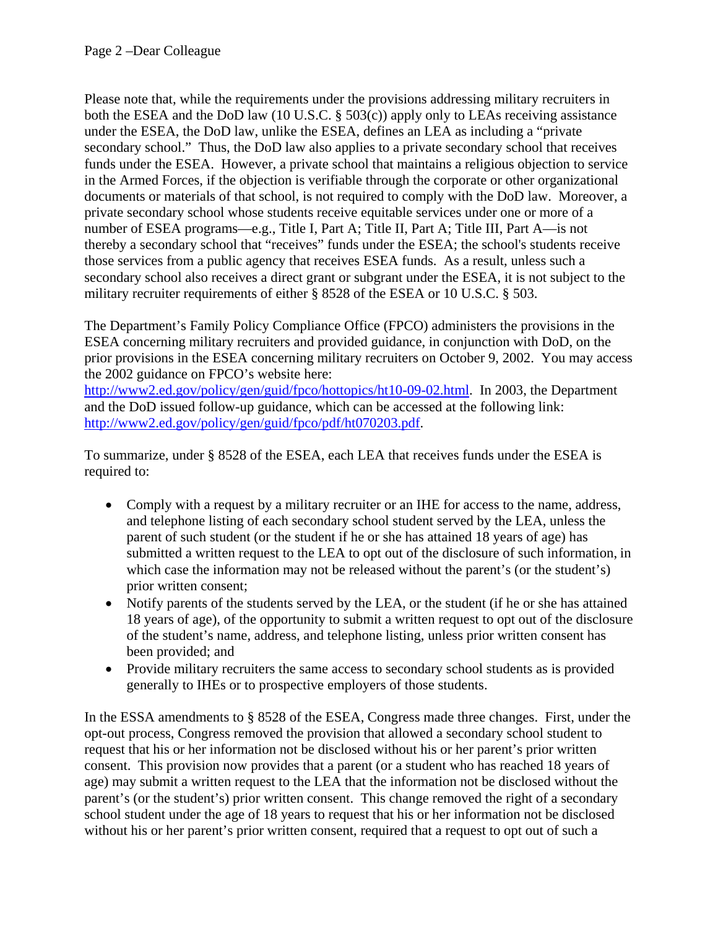Please note that, while the requirements under the provisions addressing military recruiters in both the ESEA and the DoD law (10 U.S.C. § 503(c)) apply only to LEAs receiving assistance under the ESEA, the DoD law, unlike the ESEA, defines an LEA as including a "private secondary school." Thus, the DoD law also applies to a private secondary school that receives funds under the ESEA. However, a private school that maintains a religious objection to service in the Armed Forces, if the objection is verifiable through the corporate or other organizational documents or materials of that school, is not required to comply with the DoD law. Moreover, a private secondary school whose students receive equitable services under one or more of a number of ESEA programs—e.g., Title I, Part A; Title II, Part A; Title III, Part A—is not thereby a secondary school that "receives" funds under the ESEA; the school's students receive those services from a public agency that receives ESEA funds. As a result, unless such a secondary school also receives a direct grant or subgrant under the ESEA, it is not subject to the military recruiter requirements of either § 8528 of the ESEA or 10 U.S.C. § 503.

The Department's Family Policy Compliance Office (FPCO) administers the provisions in the ESEA concerning military recruiters and provided guidance, in conjunction with DoD, on the prior provisions in the ESEA concerning military recruiters on October 9, 2002. You may access the 2002 guidance on FPCO's website here:

http://www2.ed.gov/policy/gen/guid/fpco/hottopics/ht10-09-02.html. In 2003, the Department and the DoD issued follow-up guidance, which can be accessed at the following link: http://www2.ed.gov/policy/gen/guid/fpco/pdf/ht070203.pdf.

To summarize, under § 8528 of the ESEA, each LEA that receives funds under the ESEA is required to:

- Comply with a request by a military recruiter or an IHE for access to the name, address, and telephone listing of each secondary school student served by the LEA, unless the parent of such student (or the student if he or she has attained 18 years of age) has submitted a written request to the LEA to opt out of the disclosure of such information, in which case the information may not be released without the parent's (or the student's) prior written consent;
- Notify parents of the students served by the LEA, or the student (if he or she has attained 18 years of age), of the opportunity to submit a written request to opt out of the disclosure of the student's name, address, and telephone listing, unless prior written consent has been provided; and
- Provide military recruiters the same access to secondary school students as is provided generally to IHEs or to prospective employers of those students.

In the ESSA amendments to § 8528 of the ESEA, Congress made three changes. First, under the opt-out process, Congress removed the provision that allowed a secondary school student to request that his or her information not be disclosed without his or her parent's prior written consent. This provision now provides that a parent (or a student who has reached 18 years of age) may submit a written request to the LEA that the information not be disclosed without the parent's (or the student's) prior written consent. This change removed the right of a secondary school student under the age of 18 years to request that his or her information not be disclosed without his or her parent's prior written consent, required that a request to opt out of such a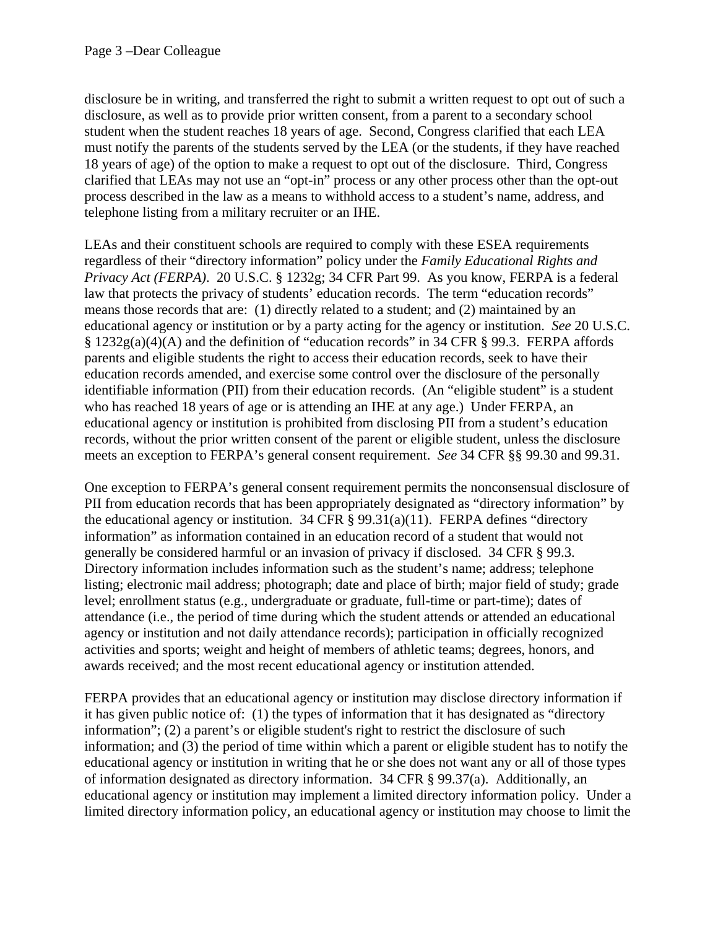disclosure be in writing, and transferred the right to submit a written request to opt out of such a disclosure, as well as to provide prior written consent, from a parent to a secondary school student when the student reaches 18 years of age. Second, Congress clarified that each LEA must notify the parents of the students served by the LEA (or the students, if they have reached 18 years of age) of the option to make a request to opt out of the disclosure. Third, Congress clarified that LEAs may not use an "opt-in" process or any other process other than the opt-out process described in the law as a means to withhold access to a student's name, address, and telephone listing from a military recruiter or an IHE.

LEAs and their constituent schools are required to comply with these ESEA requirements regardless of their "directory information" policy under the *Family Educational Rights and Privacy Act (FERPA)*. 20 U.S.C. § 1232g; 34 CFR Part 99. As you know, FERPA is a federal law that protects the privacy of students' education records. The term "education records" means those records that are: (1) directly related to a student; and (2) maintained by an educational agency or institution or by a party acting for the agency or institution. *See* 20 U.S.C. § 1232g(a)(4)(A) and the definition of "education records" in 34 CFR § 99.3. FERPA affords parents and eligible students the right to access their education records, seek to have their education records amended, and exercise some control over the disclosure of the personally identifiable information (PII) from their education records. (An "eligible student" is a student who has reached 18 years of age or is attending an IHE at any age.) Under FERPA, an educational agency or institution is prohibited from disclosing PII from a student's education records, without the prior written consent of the parent or eligible student, unless the disclosure meets an exception to FERPA's general consent requirement. *See* 34 CFR §§ 99.30 and 99.31.

One exception to FERPA's general consent requirement permits the nonconsensual disclosure of PII from education records that has been appropriately designated as "directory information" by the educational agency or institution. 34 CFR  $\S$  99.31(a)(11). FERPA defines "directory information" as information contained in an education record of a student that would not generally be considered harmful or an invasion of privacy if disclosed. 34 CFR § 99.3. Directory information includes information such as the student's name; address; telephone listing; electronic mail address; photograph; date and place of birth; major field of study; grade level; enrollment status (e.g., undergraduate or graduate, full-time or part-time); dates of attendance (i.e., the period of time during which the student attends or attended an educational agency or institution and not daily attendance records); participation in officially recognized activities and sports; weight and height of members of athletic teams; degrees, honors, and awards received; and the most recent educational agency or institution attended.

FERPA provides that an educational agency or institution may disclose directory information if it has given public notice of: (1) the types of information that it has designated as "directory information"; (2) a parent's or eligible student's right to restrict the disclosure of such information; and (3) the period of time within which a parent or eligible student has to notify the educational agency or institution in writing that he or she does not want any or all of those types of information designated as directory information. 34 CFR § 99.37(a). Additionally, an educational agency or institution may implement a limited directory information policy. Under a limited directory information policy, an educational agency or institution may choose to limit the